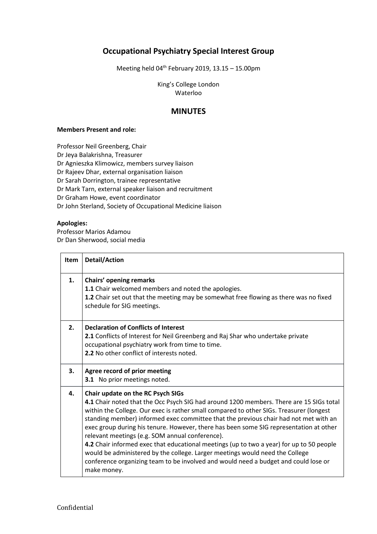## **Occupational Psychiatry Special Interest Group**

Meeting held  $04^{th}$  February 2019, 13.15 - 15.00pm

King's College London Waterloo

## **MINUTES**

## **Members Present and role:**

Professor Neil Greenberg, Chair Dr Jeya Balakrishna, Treasurer Dr Agnieszka Klimowicz, members survey liaison Dr Rajeev Dhar, external organisation liaison Dr Sarah Dorrington, trainee representative Dr Mark Tarn, external speaker liaison and recruitment Dr Graham Howe, event coordinator Dr John Sterland, Society of Occupational Medicine liaison

## **Apologies:**

Professor Marios Adamou Dr Dan Sherwood, social media

| <b>Item</b> | <b>Detail/Action</b>                                                                                                                                                                                                                                                                                                                                                                                                                                                                                                                                                                                                                                                                                                                           |
|-------------|------------------------------------------------------------------------------------------------------------------------------------------------------------------------------------------------------------------------------------------------------------------------------------------------------------------------------------------------------------------------------------------------------------------------------------------------------------------------------------------------------------------------------------------------------------------------------------------------------------------------------------------------------------------------------------------------------------------------------------------------|
| 1.          | <b>Chairs' opening remarks</b><br>1.1 Chair welcomed members and noted the apologies.<br><b>1.2</b> Chair set out that the meeting may be somewhat free flowing as there was no fixed<br>schedule for SIG meetings.                                                                                                                                                                                                                                                                                                                                                                                                                                                                                                                            |
| 2.          | <b>Declaration of Conflicts of Interest</b><br>2.1 Conflicts of Interest for Neil Greenberg and Raj Shar who undertake private<br>occupational psychiatry work from time to time.<br>2.2 No other conflict of interests noted.                                                                                                                                                                                                                                                                                                                                                                                                                                                                                                                 |
| 3.          | Agree record of prior meeting<br>3.1 No prior meetings noted.                                                                                                                                                                                                                                                                                                                                                                                                                                                                                                                                                                                                                                                                                  |
| 4.          | Chair update on the RC Psych SIGs<br>4.1 Chair noted that the Occ Psych SIG had around 1200 members. There are 15 SIGs total<br>within the College. Our exec is rather small compared to other SIGs. Treasurer (longest<br>standing member) informed exec committee that the previous chair had not met with an<br>exec group during his tenure. However, there has been some SIG representation at other<br>relevant meetings (e.g. SOM annual conference).<br>4.2 Chair informed exec that educational meetings (up to two a year) for up to 50 people<br>would be administered by the college. Larger meetings would need the College<br>conference organizing team to be involved and would need a budget and could lose or<br>make money. |